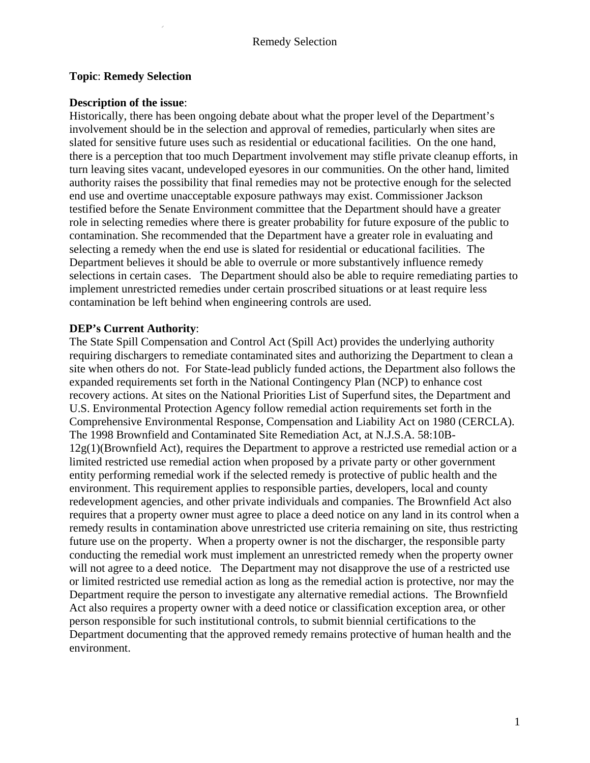#### **Topic**: **Remedy Selection**

### **Description of the issue**:

Historically, there has been ongoing debate about what the proper level of the Department's involvement should be in the selection and approval of remedies, particularly when sites are slated for sensitive future uses such as residential or educational facilities. On the one hand, there is a perception that too much Department involvement may stifle private cleanup efforts, in turn leaving sites vacant, undeveloped eyesores in our communities. On the other hand, limited authority raises the possibility that final remedies may not be protective enough for the selected end use and overtime unacceptable exposure pathways may exist. Commissioner Jackson testified before the Senate Environment committee that the Department should have a greater role in selecting remedies where there is greater probability for future exposure of the public to contamination. She recommended that the Department have a greater role in evaluating and selecting a remedy when the end use is slated for residential or educational facilities. The Department believes it should be able to overrule or more substantively influence remedy selections in certain cases. The Department should also be able to require remediating parties to implement unrestricted remedies under certain proscribed situations or at least require less contamination be left behind when engineering controls are used.

# **DEP's Current Authority**:

The State Spill Compensation and Control Act (Spill Act) provides the underlying authority requiring dischargers to remediate contaminated sites and authorizing the Department to clean a site when others do not. For State-lead publicly funded actions, the Department also follows the expanded requirements set forth in the National Contingency Plan (NCP) to enhance cost recovery actions. At sites on the National Priorities List of Superfund sites, the Department and U.S. Environmental Protection Agency follow remedial action requirements set forth in the Comprehensive Environmental Response, Compensation and Liability Act on 1980 (CERCLA). The 1998 Brownfield and Contaminated Site Remediation Act, at N.J.S.A. 58:10B- $12g(1)$ (Brownfield Act), requires the Department to approve a restricted use remedial action or a limited restricted use remedial action when proposed by a private party or other government entity performing remedial work if the selected remedy is protective of public health and the environment. This requirement applies to responsible parties, developers, local and county redevelopment agencies, and other private individuals and companies. The Brownfield Act also requires that a property owner must agree to place a deed notice on any land in its control when a remedy results in contamination above unrestricted use criteria remaining on site, thus restricting future use on the property. When a property owner is not the discharger, the responsible party conducting the remedial work must implement an unrestricted remedy when the property owner will not agree to a deed notice. The Department may not disapprove the use of a restricted use or limited restricted use remedial action as long as the remedial action is protective, nor may the Department require the person to investigate any alternative remedial actions. The Brownfield Act also requires a property owner with a deed notice or classification exception area, or other person responsible for such institutional controls, to submit biennial certifications to the Department documenting that the approved remedy remains protective of human health and the environment.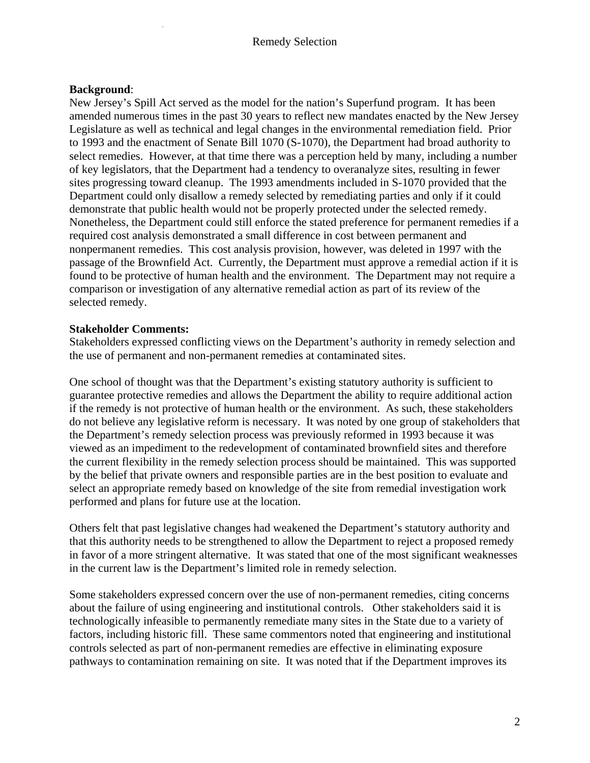### Remedy Selection

### **Background**:

New Jersey's Spill Act served as the model for the nation's Superfund program. It has been amended numerous times in the past 30 years to reflect new mandates enacted by the New Jersey Legislature as well as technical and legal changes in the environmental remediation field. Prior to 1993 and the enactment of Senate Bill 1070 (S-1070), the Department had broad authority to select remedies. However, at that time there was a perception held by many, including a number of key legislators, that the Department had a tendency to overanalyze sites, resulting in fewer sites progressing toward cleanup. The 1993 amendments included in S-1070 provided that the Department could only disallow a remedy selected by remediating parties and only if it could demonstrate that public health would not be properly protected under the selected remedy. Nonetheless, the Department could still enforce the stated preference for permanent remedies if a required cost analysis demonstrated a small difference in cost between permanent and nonpermanent remedies. This cost analysis provision, however, was deleted in 1997 with the passage of the Brownfield Act. Currently, the Department must approve a remedial action if it is found to be protective of human health and the environment. The Department may not require a comparison or investigation of any alternative remedial action as part of its review of the selected remedy.

#### **Stakeholder Comments:**

Stakeholders expressed conflicting views on the Department's authority in remedy selection and the use of permanent and non-permanent remedies at contaminated sites.

One school of thought was that the Department's existing statutory authority is sufficient to guarantee protective remedies and allows the Department the ability to require additional action if the remedy is not protective of human health or the environment. As such, these stakeholders do not believe any legislative reform is necessary. It was noted by one group of stakeholders that the Department's remedy selection process was previously reformed in 1993 because it was viewed as an impediment to the redevelopment of contaminated brownfield sites and therefore the current flexibility in the remedy selection process should be maintained. This was supported by the belief that private owners and responsible parties are in the best position to evaluate and select an appropriate remedy based on knowledge of the site from remedial investigation work performed and plans for future use at the location.

Others felt that past legislative changes had weakened the Department's statutory authority and that this authority needs to be strengthened to allow the Department to reject a proposed remedy in favor of a more stringent alternative. It was stated that one of the most significant weaknesses in the current law is the Department's limited role in remedy selection.

Some stakeholders expressed concern over the use of non-permanent remedies, citing concerns about the failure of using engineering and institutional controls. Other stakeholders said it is technologically infeasible to permanently remediate many sites in the State due to a variety of factors, including historic fill. These same commentors noted that engineering and institutional controls selected as part of non-permanent remedies are effective in eliminating exposure pathways to contamination remaining on site. It was noted that if the Department improves its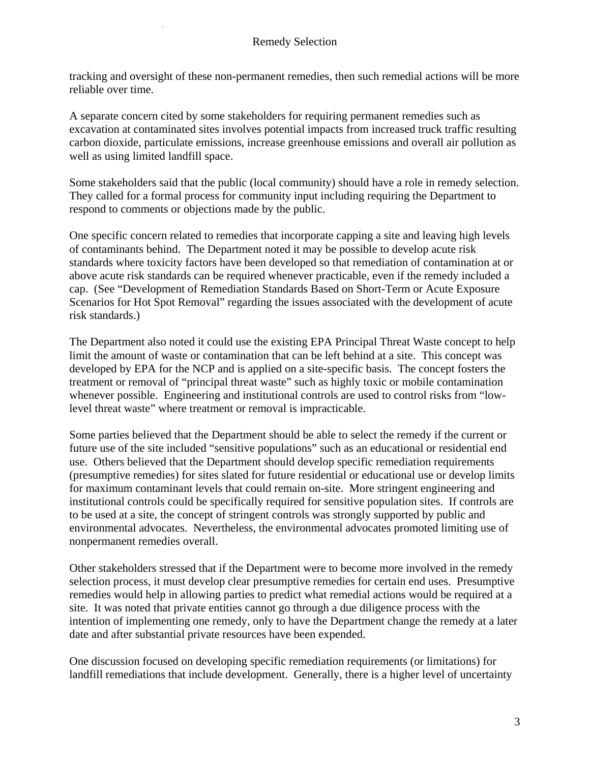tracking and oversight of these non-permanent remedies, then such remedial actions will be more reliable over time.

A separate concern cited by some stakeholders for requiring permanent remedies such as excavation at contaminated sites involves potential impacts from increased truck traffic resulting carbon dioxide, particulate emissions, increase greenhouse emissions and overall air pollution as well as using limited landfill space.

Some stakeholders said that the public (local community) should have a role in remedy selection. They called for a formal process for community input including requiring the Department to respond to comments or objections made by the public.

One specific concern related to remedies that incorporate capping a site and leaving high levels of contaminants behind. The Department noted it may be possible to develop acute risk standards where toxicity factors have been developed so that remediation of contamination at or above acute risk standards can be required whenever practicable, even if the remedy included a cap. (See "Development of Remediation Standards Based on Short-Term or Acute Exposure Scenarios for Hot Spot Removal" regarding the issues associated with the development of acute risk standards.)

The Department also noted it could use the existing EPA Principal Threat Waste concept to help limit the amount of waste or contamination that can be left behind at a site. This concept was developed by EPA for the NCP and is applied on a site-specific basis. The concept fosters the treatment or removal of "principal threat waste" such as highly toxic or mobile contamination whenever possible. Engineering and institutional controls are used to control risks from "lowlevel threat waste" where treatment or removal is impracticable.

Some parties believed that the Department should be able to select the remedy if the current or future use of the site included "sensitive populations" such as an educational or residential end use. Others believed that the Department should develop specific remediation requirements (presumptive remedies) for sites slated for future residential or educational use or develop limits for maximum contaminant levels that could remain on-site. More stringent engineering and institutional controls could be specifically required for sensitive population sites. If controls are to be used at a site, the concept of stringent controls was strongly supported by public and environmental advocates. Nevertheless, the environmental advocates promoted limiting use of nonpermanent remedies overall.

Other stakeholders stressed that if the Department were to become more involved in the remedy selection process, it must develop clear presumptive remedies for certain end uses. Presumptive remedies would help in allowing parties to predict what remedial actions would be required at a site. It was noted that private entities cannot go through a due diligence process with the intention of implementing one remedy, only to have the Department change the remedy at a later date and after substantial private resources have been expended.

One discussion focused on developing specific remediation requirements (or limitations) for landfill remediations that include development. Generally, there is a higher level of uncertainty